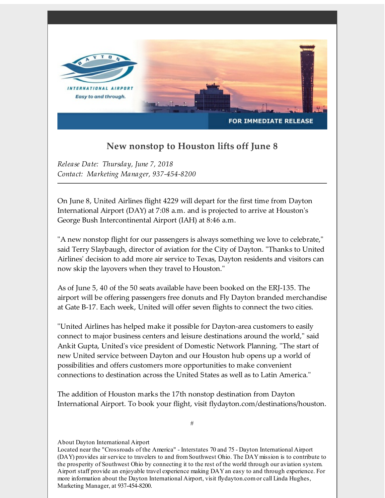

## **New nonstop to Houston lifts off June 8**

*Release Date: Thursday, June 7, 2018 Contact: Marketing Manager, 937-454-8200*

On June 8, United Airlines flight 4229 will depart for the first time from Dayton International Airport (DAY) at 7:08 a.m. and is projected to arrive at Houston's George Bush Intercontinental Airport (IAH) at 8:46 a.m.

"A new nonstop flight for our passengers is always something we love to celebrate," said Terry Slaybaugh, director of aviation for the City of Dayton. "Thanks to United Airlines' decision to add more air service to Texas, Dayton residents and visitors can now skip the layovers when they travel to Houston."

As of June 5, 40 of the 50 seats available have been booked on the ERJ-135. The airport will be offering passengers free donuts and Fly Dayton branded merchandise at Gate B-17. Each week, United will offer seven flights to connect the two cities.

"United Airlines has helped make it possible for Dayton-area customers to easily connect to major business centers and leisure destinations around the world," said Ankit Gupta, United's vice president of Domestic Network Planning. "The start of new United service between Dayton and our Houston hub opens up a world of possibilities and offers customers more opportunities to make convenient connections to destination across the United States as well as to Latin America."

The addition of Houston marks the 17th nonstop destination from Dayton International Airport. To book your flight, visit flydayton.com/destinations/houston.

#

## About Dayton International Airport

Located near the "Crossroads of the America" - Interstates 70 and 75 - Dayton International Airport (DAY) provides air service to travelers to and fromSouthwest Ohio. The DAYmission is to contribute to the prosperity of Southwest Ohio by connecting it to the rest of the world through our aviation system. Airport staff provide an enjoyable travel experience making DAYan easy to and through experience. For more information about the Dayton International Airport, visit flydayton.comor call Linda Hughes, Marketing Manager, at 937-454-8200.